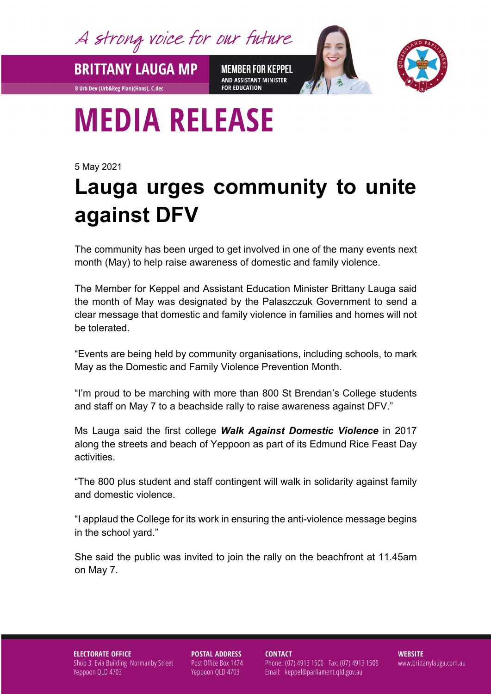A strong voice for our future

**BRITTANY LAUGA MP** 

**B Urb Dev (Urb&Reg Plan)(Hons), C.dec** 

**MEMBER FOR KEPPEL** AND ASSISTANT MINISTER **FOR EDUCATION** 



## **MEDIA RELEASE**

5 May 2021

## **Lauga urges community to unite against DFV**

The community has been urged to get involved in one of the many events next month (May) to help raise awareness of domestic and family violence.

The Member for Keppel and Assistant Education Minister Brittany Lauga said the month of May was designated by the Palaszczuk Government to send a clear message that domestic and family violence in families and homes will not be tolerated.

"Events are being held by community organisations, including schools, to mark May as the Domestic and Family Violence Prevention Month.

"I'm proud to be marching with more than 800 St Brendan's College students and staff on May 7 to a beachside rally to raise awareness against DFV."

Ms Lauga said the first college *Walk Against Domestic Violence* in 2017 along the streets and beach of Yeppoon as part of its Edmund Rice Feast Day activities.

"The 800 plus student and staff contingent will walk in solidarity against family and domestic violence.

"I applaud the College for its work in ensuring the anti-violence message begins in the school yard."

She said the public was invited to join the rally on the beachfront at 11.45am on May 7.

## **ELECTORATE OFFICE** Shop 3, Evia Building Normanby Street Yeppoon QLD 4703

**POSTAL ADDRESS** Post Office Box 1474 Yeppoon QLD 4703

**CONTACT** Phone: (07) 4913 1500 Fax: (07) 4913 1509 Email: keppel@parliament.qld.gov.au

**WEBSITE** www.brittanylauga.com.au